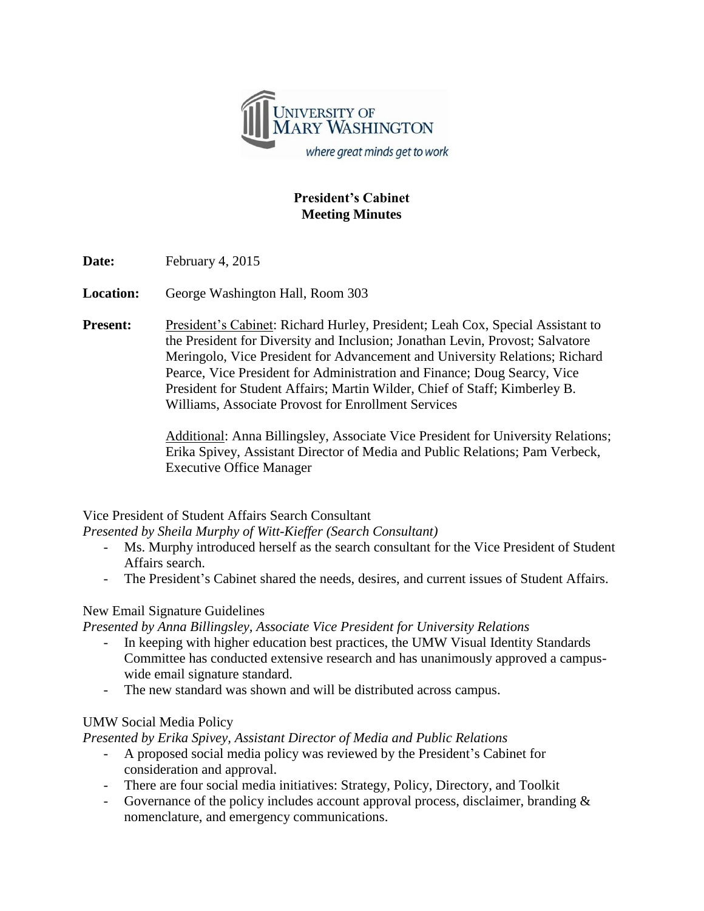

## **President's Cabinet Meeting Minutes**

Date: February 4, 2015

**Location:** George Washington Hall, Room 303

**Present:** President's Cabinet: Richard Hurley, President; Leah Cox, Special Assistant to the President for Diversity and Inclusion; Jonathan Levin, Provost; Salvatore Meringolo, Vice President for Advancement and University Relations; Richard Pearce, Vice President for Administration and Finance; Doug Searcy, Vice President for Student Affairs; Martin Wilder, Chief of Staff; Kimberley B. Williams, Associate Provost for Enrollment Services

> Additional: Anna Billingsley, Associate Vice President for University Relations; Erika Spivey, Assistant Director of Media and Public Relations; Pam Verbeck, Executive Office Manager

Vice President of Student Affairs Search Consultant

*Presented by Sheila Murphy of Witt-Kieffer (Search Consultant)*

- Ms. Murphy introduced herself as the search consultant for the Vice President of Student Affairs search.
- The President's Cabinet shared the needs, desires, and current issues of Student Affairs.

## New Email Signature Guidelines

*Presented by Anna Billingsley, Associate Vice President for University Relations*

- In keeping with higher education best practices, the UMW Visual Identity Standards Committee has conducted extensive research and has unanimously approved a campuswide email signature standard.
- The new standard was shown and will be distributed across campus.

## UMW Social Media Policy

*Presented by Erika Spivey, Assistant Director of Media and Public Relations*

- A proposed social media policy was reviewed by the President's Cabinet for consideration and approval.
- There are four social media initiatives: Strategy, Policy, Directory, and Toolkit
- Governance of the policy includes account approval process, disclaimer, branding & nomenclature, and emergency communications.